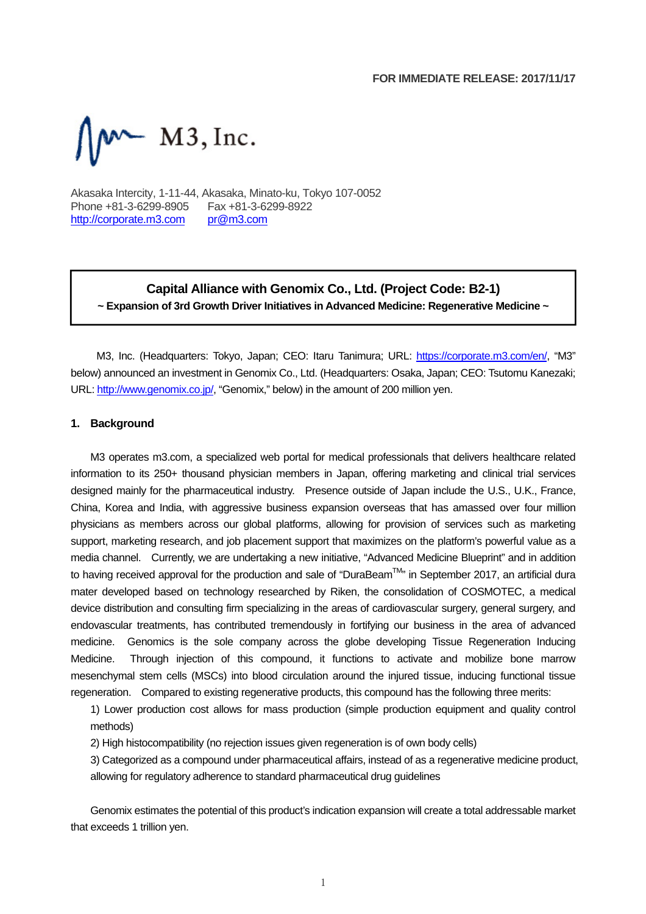

Akasaka Intercity, 1-11-44, Akasaka, Minato-ku, Tokyo 107-0052 Phone +81-3-6299-8905 Fax +81-3-6299-8922 http://corporate.m3.com pr@m3.com

# **Capital Alliance with Genomix Co., Ltd. (Project Code: B2-1) ~ Expansion of 3rd Growth Driver Initiatives in Advanced Medicine: Regenerative Medicine ~**

M3, Inc. (Headquarters: Tokyo, Japan; CEO: Itaru Tanimura; URL: https://corporate.m3.com/en/, "M3" below) announced an investment in Genomix Co., Ltd. (Headquarters: Osaka, Japan; CEO: Tsutomu Kanezaki; URL: http://www.genomix.co.jp/, "Genomix," below) in the amount of 200 million yen.

#### **1. Background**

M3 operates m3.com, a specialized web portal for medical professionals that delivers healthcare related information to its 250+ thousand physician members in Japan, offering marketing and clinical trial services designed mainly for the pharmaceutical industry. Presence outside of Japan include the U.S., U.K., France, China, Korea and India, with aggressive business expansion overseas that has amassed over four million physicians as members across our global platforms, allowing for provision of services such as marketing support, marketing research, and job placement support that maximizes on the platform's powerful value as a media channel. Currently, we are undertaking a new initiative, "Advanced Medicine Blueprint" and in addition to having received approval for the production and sale of "DuraBeam<sup>TM</sup>" in September 2017, an artificial dura mater developed based on technology researched by Riken, the consolidation of COSMOTEC, a medical device distribution and consulting firm specializing in the areas of cardiovascular surgery, general surgery, and endovascular treatments, has contributed tremendously in fortifying our business in the area of advanced medicine. Genomics is the sole company across the globe developing Tissue Regeneration Inducing Medicine. Through injection of this compound, it functions to activate and mobilize bone marrow mesenchymal stem cells (MSCs) into blood circulation around the injured tissue, inducing functional tissue regeneration. Compared to existing regenerative products, this compound has the following three merits:

1) Lower production cost allows for mass production (simple production equipment and quality control methods)

2) High histocompatibility (no rejection issues given regeneration is of own body cells)

3) Categorized as a compound under pharmaceutical affairs, instead of as a regenerative medicine product, allowing for regulatory adherence to standard pharmaceutical drug guidelines

Genomix estimates the potential of this product's indication expansion will create a total addressable market that exceeds 1 trillion yen.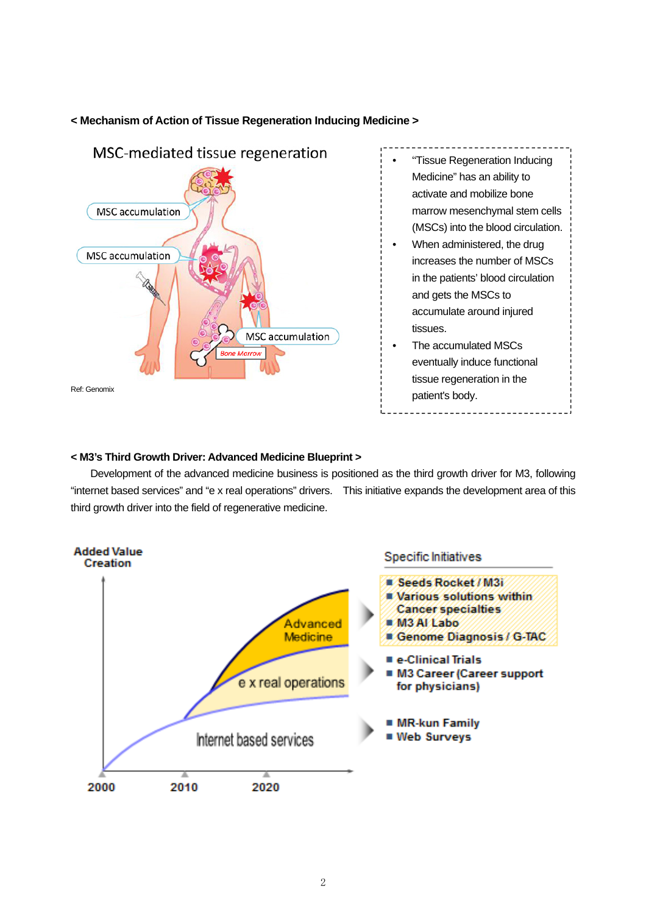### **< Mechanism of Action of Tissue Regeneration Inducing Medicine >**



- "Tissue Regeneration Inducing Medicine" has an ability to activate and mobilize bone marrow mesenchymal stem cells (MSCs) into the blood circulation.
- When administered, the drug increases the number of MSCs in the patients' blood circulation and gets the MSCs to accumulate around injured tissues.
- The accumulated MSCs eventually induce functional tissue regeneration in the patient's body.

### **< M3's Third Growth Driver: Advanced Medicine Blueprint >**

Development of the advanced medicine business is positioned as the third growth driver for M3, following "internet based services" and "e x real operations" drivers. This initiative expands the development area of this third growth driver into the field of regenerative medicine.